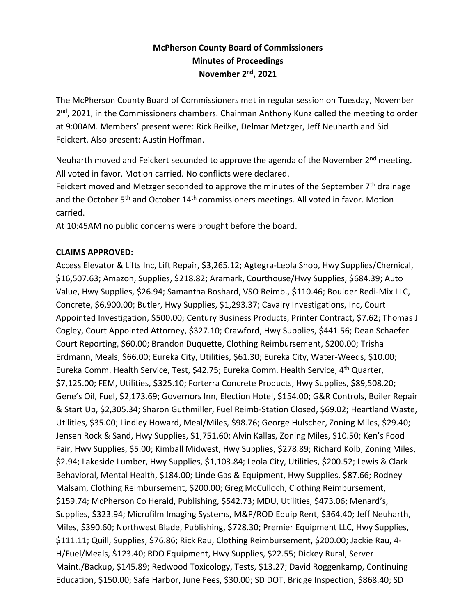# **McPherson County Board of Commissioners Minutes of Proceedings November 2nd, 2021**

The McPherson County Board of Commissioners met in regular session on Tuesday, November 2<sup>nd</sup>, 2021, in the Commissioners chambers. Chairman Anthony Kunz called the meeting to order at 9:00AM. Members' present were: Rick Beilke, Delmar Metzger, Jeff Neuharth and Sid Feickert. Also present: Austin Hoffman.

Neuharth moved and Feickert seconded to approve the agenda of the November 2<sup>nd</sup> meeting. All voted in favor. Motion carried. No conflicts were declared.

Feickert moved and Metzger seconded to approve the minutes of the September 7<sup>th</sup> drainage and the October 5<sup>th</sup> and October 14<sup>th</sup> commissioners meetings. All voted in favor. Motion carried.

At 10:45AM no public concerns were brought before the board.

## **CLAIMS APPROVED:**

Access Elevator & Lifts Inc, Lift Repair, \$3,265.12; Agtegra-Leola Shop, Hwy Supplies/Chemical, \$16,507.63; Amazon, Supplies, \$218.82; Aramark, Courthouse/Hwy Supplies, \$684.39; Auto Value, Hwy Supplies, \$26.94; Samantha Boshard, VSO Reimb., \$110.46; Boulder Redi-Mix LLC, Concrete, \$6,900.00; Butler, Hwy Supplies, \$1,293.37; Cavalry Investigations, Inc, Court Appointed Investigation, \$500.00; Century Business Products, Printer Contract, \$7.62; Thomas J Cogley, Court Appointed Attorney, \$327.10; Crawford, Hwy Supplies, \$441.56; Dean Schaefer Court Reporting, \$60.00; Brandon Duquette, Clothing Reimbursement, \$200.00; Trisha Erdmann, Meals, \$66.00; Eureka City, Utilities, \$61.30; Eureka City, Water-Weeds, \$10.00; Eureka Comm. Health Service, Test, \$42.75; Eureka Comm. Health Service, 4<sup>th</sup> Quarter, \$7,125.00; FEM, Utilities, \$325.10; Forterra Concrete Products, Hwy Supplies, \$89,508.20; Gene's Oil, Fuel, \$2,173.69; Governors Inn, Election Hotel, \$154.00; G&R Controls, Boiler Repair & Start Up, \$2,305.34; Sharon Guthmiller, Fuel Reimb-Station Closed, \$69.02; Heartland Waste, Utilities, \$35.00; Lindley Howard, Meal/Miles, \$98.76; George Hulscher, Zoning Miles, \$29.40; Jensen Rock & Sand, Hwy Supplies, \$1,751.60; Alvin Kallas, Zoning Miles, \$10.50; Ken's Food Fair, Hwy Supplies, \$5.00; Kimball Midwest, Hwy Supplies, \$278.89; Richard Kolb, Zoning Miles, \$2.94; Lakeside Lumber, Hwy Supplies, \$1,103.84; Leola City, Utilities, \$200.52; Lewis & Clark Behavioral, Mental Health, \$184.00; Linde Gas & Equipment, Hwy Supplies, \$87.66; Rodney Malsam, Clothing Reimbursement, \$200.00; Greg McCulloch, Clothing Reimbursement, \$159.74; McPherson Co Herald, Publishing, \$542.73; MDU, Utilities, \$473.06; Menard's, Supplies, \$323.94; Microfilm Imaging Systems, M&P/ROD Equip Rent, \$364.40; Jeff Neuharth, Miles, \$390.60; Northwest Blade, Publishing, \$728.30; Premier Equipment LLC, Hwy Supplies, \$111.11; Quill, Supplies, \$76.86; Rick Rau, Clothing Reimbursement, \$200.00; Jackie Rau, 4- H/Fuel/Meals, \$123.40; RDO Equipment, Hwy Supplies, \$22.55; Dickey Rural, Server Maint./Backup, \$145.89; Redwood Toxicology, Tests, \$13.27; David Roggenkamp, Continuing Education, \$150.00; Safe Harbor, June Fees, \$30.00; SD DOT, Bridge Inspection, \$868.40; SD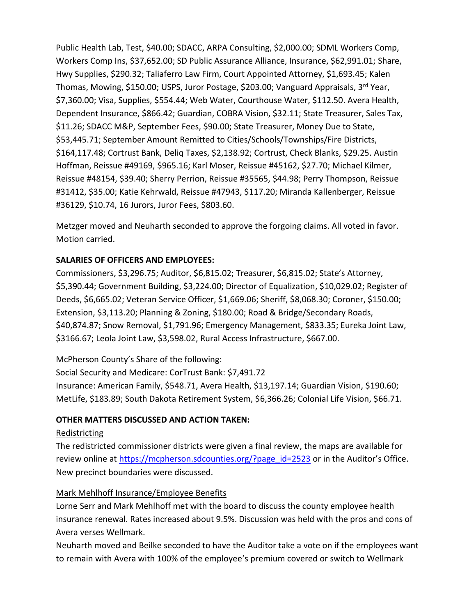Public Health Lab, Test, \$40.00; SDACC, ARPA Consulting, \$2,000.00; SDML Workers Comp, Workers Comp Ins, \$37,652.00; SD Public Assurance Alliance, Insurance, \$62,991.01; Share, Hwy Supplies, \$290.32; Taliaferro Law Firm, Court Appointed Attorney, \$1,693.45; Kalen Thomas, Mowing, \$150.00; USPS, Juror Postage, \$203.00; Vanguard Appraisals, 3rd Year, \$7,360.00; Visa, Supplies, \$554.44; Web Water, Courthouse Water, \$112.50. Avera Health, Dependent Insurance, \$866.42; Guardian, COBRA Vision, \$32.11; State Treasurer, Sales Tax, \$11.26; SDACC M&P, September Fees, \$90.00; State Treasurer, Money Due to State, \$53,445.71; September Amount Remitted to Cities/Schools/Townships/Fire Districts, \$164,117.48; Cortrust Bank, Deliq Taxes, \$2,138.92; Cortrust, Check Blanks, \$29.25. Austin Hoffman, Reissue #49169, \$965.16; Karl Moser, Reissue #45162, \$27.70; Michael Kilmer, Reissue #48154, \$39.40; Sherry Perrion, Reissue #35565, \$44.98; Perry Thompson, Reissue #31412, \$35.00; Katie Kehrwald, Reissue #47943, \$117.20; Miranda Kallenberger, Reissue #36129, \$10.74, 16 Jurors, Juror Fees, \$803.60.

Metzger moved and Neuharth seconded to approve the forgoing claims. All voted in favor. Motion carried.

## **SALARIES OF OFFICERS AND EMPLOYEES:**

Commissioners, \$3,296.75; Auditor, \$6,815.02; Treasurer, \$6,815.02; State's Attorney, \$5,390.44; Government Building, \$3,224.00; Director of Equalization, \$10,029.02; Register of Deeds, \$6,665.02; Veteran Service Officer, \$1,669.06; Sheriff, \$8,068.30; Coroner, \$150.00; Extension, \$3,113.20; Planning & Zoning, \$180.00; Road & Bridge/Secondary Roads, \$40,874.87; Snow Removal, \$1,791.96; Emergency Management, \$833.35; Eureka Joint Law, \$3166.67; Leola Joint Law, \$3,598.02, Rural Access Infrastructure, \$667.00.

McPherson County's Share of the following:

Social Security and Medicare: CorTrust Bank: \$7,491.72

Insurance: American Family, \$548.71, Avera Health, \$13,197.14; Guardian Vision, \$190.60; MetLife, \$183.89; South Dakota Retirement System, \$6,366.26; Colonial Life Vision, \$66.71.

## **OTHER MATTERS DISCUSSED AND ACTION TAKEN:**

#### Redistricting

The redistricted commissioner districts were given a final review, the maps are available for review online at [https://mcpherson.sdcounties.org/?page\\_id=2523](https://mcpherson.sdcounties.org/?page_id=2523) or in the Auditor's Office. New precinct boundaries were discussed.

## Mark Mehlhoff Insurance/Employee Benefits

Lorne Serr and Mark Mehlhoff met with the board to discuss the county employee health insurance renewal. Rates increased about 9.5%. Discussion was held with the pros and cons of Avera verses Wellmark.

Neuharth moved and Beilke seconded to have the Auditor take a vote on if the employees want to remain with Avera with 100% of the employee's premium covered or switch to Wellmark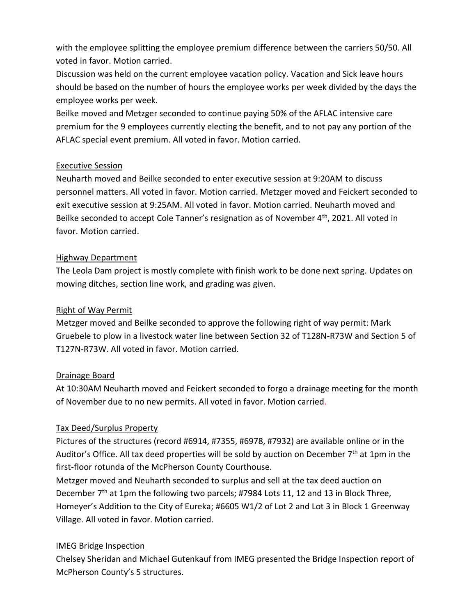with the employee splitting the employee premium difference between the carriers 50/50. All voted in favor. Motion carried.

Discussion was held on the current employee vacation policy. Vacation and Sick leave hours should be based on the number of hours the employee works per week divided by the days the employee works per week.

Beilke moved and Metzger seconded to continue paying 50% of the AFLAC intensive care premium for the 9 employees currently electing the benefit, and to not pay any portion of the AFLAC special event premium. All voted in favor. Motion carried.

#### Executive Session

Neuharth moved and Beilke seconded to enter executive session at 9:20AM to discuss personnel matters. All voted in favor. Motion carried. Metzger moved and Feickert seconded to exit executive session at 9:25AM. All voted in favor. Motion carried. Neuharth moved and Beilke seconded to accept Cole Tanner's resignation as of November 4<sup>th</sup>, 2021. All voted in favor. Motion carried.

#### Highway Department

The Leola Dam project is mostly complete with finish work to be done next spring. Updates on mowing ditches, section line work, and grading was given.

## Right of Way Permit

Metzger moved and Beilke seconded to approve the following right of way permit: Mark Gruebele to plow in a livestock water line between Section 32 of T128N-R73W and Section 5 of T127N-R73W. All voted in favor. Motion carried.

## Drainage Board

At 10:30AM Neuharth moved and Feickert seconded to forgo a drainage meeting for the month of November due to no new permits. All voted in favor. Motion carried.

## Tax Deed/Surplus Property

Pictures of the structures (record #6914, #7355, #6978, #7932) are available online or in the Auditor's Office. All tax deed properties will be sold by auction on December  $7<sup>th</sup>$  at 1pm in the first-floor rotunda of the McPherson County Courthouse.

Metzger moved and Neuharth seconded to surplus and sell at the tax deed auction on December  $7<sup>th</sup>$  at 1pm the following two parcels; #7984 Lots 11, 12 and 13 in Block Three, Homeyer's Addition to the City of Eureka; #6605 W1/2 of Lot 2 and Lot 3 in Block 1 Greenway Village. All voted in favor. Motion carried.

## IMEG Bridge Inspection

Chelsey Sheridan and Michael Gutenkauf from IMEG presented the Bridge Inspection report of McPherson County's 5 structures.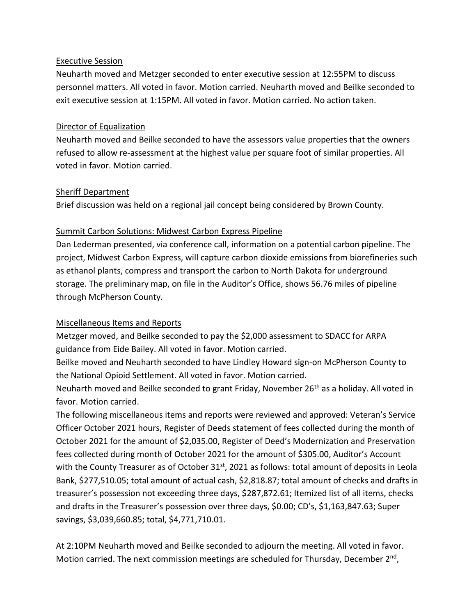#### Executive Session

Neuharth moved and Metzger seconded to enter executive session at 12:55PM to discuss personnel matters. All voted in favor. Motion carried. Neuharth moved and Beilke seconded to exit executive session at 1:15PM. All voted in favor. Motion carried. No action taken.

#### Director of Equalization

Neuharth moved and Beilke seconded to have the assessors value properties that the owners refused to allow re-assessment at the highest value per square foot of similar properties. All voted in favor. Motion carried.

#### Sheriff Department

Brief discussion was held on a regional jail concept being considered by Brown County.

## Summit Carbon Solutions: Midwest Carbon Express Pipeline

Dan Lederman presented, via conference call, information on a potential carbon pipeline. The project, Midwest Carbon Express, will capture carbon dioxide emissions from biorefineries such as ethanol plants, compress and transport the carbon to North Dakota for underground storage. The preliminary map, on file in the Auditor's Office, shows 56.76 miles of pipeline through McPherson County.

## Miscellaneous Items and Reports

Metzger moved, and Beilke seconded to pay the \$2,000 assessment to SDACC for ARPA guidance from Eide Bailey. All voted in favor. Motion carried.

Beilke moved and Neuharth seconded to have Lindley Howard sign-on McPherson County to the National Opioid Settlement. All voted in favor. Motion carried.

Neuharth moved and Beilke seconded to grant Friday, November 26<sup>th</sup> as a holiday. All voted in favor. Motion carried.

The following miscellaneous items and reports were reviewed and approved: Veteran's Service Officer October 2021 hours, Register of Deeds statement of fees collected during the month of October 2021 for the amount of \$2,035.00, Register of Deed's Modernization and Preservation fees collected during month of October 2021 for the amount of \$305.00, Auditor's Account with the County Treasurer as of October 31<sup>st</sup>, 2021 as follows: total amount of deposits in Leola Bank, \$277,510.05; total amount of actual cash, \$2,818.87; total amount of checks and drafts in treasurer's possession not exceeding three days, \$287,872.61; Itemized list of all items, checks and drafts in the Treasurer's possession over three days, \$0.00; CD's, \$1,163,847.63; Super savings, \$3,039,660.85; total, \$4,771,710.01.

At 2:10PM Neuharth moved and Beilke seconded to adjourn the meeting. All voted in favor. Motion carried. The next commission meetings are scheduled for Thursday, December 2<sup>nd</sup>,